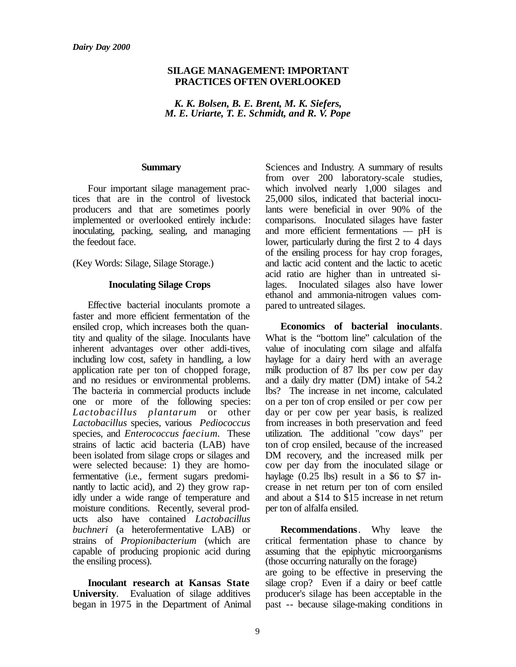## **SILAGE MANAGEMENT: IMPORTANT PRACTICES OFTEN OVERLOOKED**

*K. K. Bolsen, B. E. Brent, M. K. Siefers, M. E. Uriarte, T. E. Schmidt, and R. V. Pope*

#### **Summary**

Four important silage management practices that are in the control of livestock producers and that are sometimes poorly implemented or overlooked entirely include: inoculating, packing, sealing, and managing the feedout face.

(Key Words: Silage, Silage Storage.)

## **Inoculating Silage Crops**

Effective bacterial inoculants promote a faster and more efficient fermentation of the ensiled crop, which increases both the quantity and quality of the silage. Inoculants have inherent advantages over other addi-tives, including low cost, safety in handling, a low application rate per ton of chopped forage, and no residues or environmental problems. The bacteria in commercial products include one or more of the following species: *Lactobacillus plantarum* or other *Lactobacillus* species, various *Pediococcus* species, and *Enterococcus faecium*. These strains of lactic acid bacteria (LAB) have been isolated from silage crops or silages and were selected because: 1) they are homofermentative (i.e., ferment sugars predominantly to lactic acid), and 2) they grow rapidly under a wide range of temperature and moisture conditions. Recently, several products also have contained *Lactobacillus buchneri* (a heterofermentative LAB) or strains of *Propionibacterium* (which are capable of producing propionic acid during the ensiling process).

**Inoculant research at Kansas State University**. Evaluation of silage additives began in 1975 in the Department of Animal Sciences and Industry. A summary of results from over 200 laboratory-scale studies, which involved nearly 1,000 silages and 25,000 silos, indicated that bacterial inoculants were beneficial in over 90% of the comparisons. Inoculated silages have faster and more efficient fermentations –– pH is lower, particularly during the first 2 to 4 days of the ensiling process for hay crop forages, and lactic acid content and the lactic to acetic acid ratio are higher than in untreated silages. Inoculated silages also have lower ethanol and ammonia-nitrogen values compared to untreated silages.

**Economics of bacterial inoculants**. What is the "bottom line" calculation of the value of inoculating corn silage and alfalfa haylage for a dairy herd with an average milk production of 87 lbs per cow per day and a daily dry matter (DM) intake of 54.2 lbs? The increase in net income, calculated on a per ton of crop ensiled or per cow per day or per cow per year basis, is realized from increases in both preservation and feed utilization. The additional "cow days" per ton of crop ensiled, because of the increased DM recovery, and the increased milk per cow per day from the inoculated silage or haylage  $(0.25 \text{ lbs})$  result in a \$6 to \$7 increase in net return per ton of corn ensiled and about a \$14 to \$15 increase in net return per ton of alfalfa ensiled.

**Recommendations**. Why leave the critical fermentation phase to chance by assuming that the epiphytic microorganisms (those occurring naturally on the forage)

are going to be effective in preserving the silage crop? Even if a dairy or beef cattle producer's silage has been acceptable in the past -- because silage-making conditions in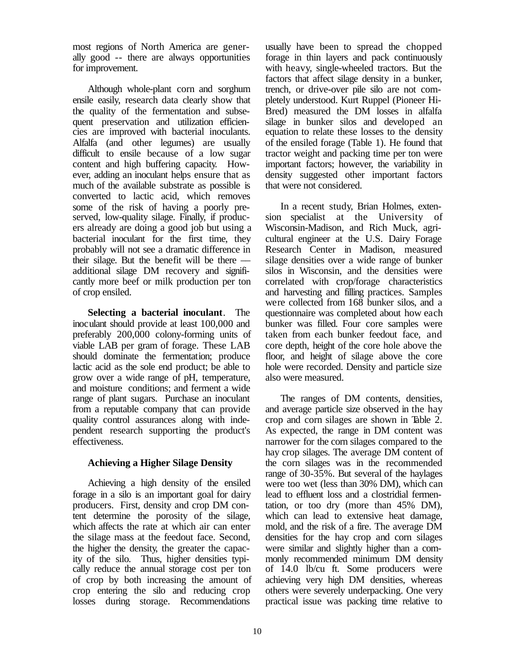most regions of North America are generally good -- there are always opportunities for improvement.

Although whole-plant corn and sorghum ensile easily, research data clearly show that the quality of the fermentation and subsequent preservation and utilization efficiencies are improved with bacterial inoculants. Alfalfa (and other legumes) are usually difficult to ensile because of a low sugar content and high buffering capacity. However, adding an inoculant helps ensure that as much of the available substrate as possible is converted to lactic acid, which removes some of the risk of having a poorly preserved, low-quality silage. Finally, if producers already are doing a good job but using a bacterial inoculant for the first time, they probably will not see a dramatic difference in their silage. But the benefit will be there  $$ additional silage DM recovery and significantly more beef or milk production per ton of crop ensiled.

**Selecting a bacterial inoculant**. The inoculant should provide at least 100,000 and preferably 200,000 colony-forming units of viable LAB per gram of forage. These LAB should dominate the fermentation; produce lactic acid as the sole end product; be able to grow over a wide range of pH, temperature, and moisture conditions; and ferment a wide range of plant sugars. Purchase an inoculant from a reputable company that can provide quality control assurances along with independent research supporting the product's effectiveness.

# **Achieving a Higher Silage Density**

Achieving a high density of the ensiled forage in a silo is an important goal for dairy producers. First, density and crop DM content determine the porosity of the silage, which affects the rate at which air can enter the silage mass at the feedout face. Second, the higher the density, the greater the capacity of the silo. Thus, higher densities typically reduce the annual storage cost per ton of crop by both increasing the amount of crop entering the silo and reducing crop losses during storage. Recommendations

usually have been to spread the chopped forage in thin layers and pack continuously with heavy, single-wheeled tractors. But the factors that affect silage density in a bunker, trench, or drive-over pile silo are not completely understood. Kurt Ruppel (Pioneer Hi-Bred) measured the DM losses in alfalfa silage in bunker silos and developed an equation to relate these losses to the density of the ensiled forage (Table 1). He found that tractor weight and packing time per ton were important factors; however, the variability in density suggested other important factors that were not considered.

In a recent study, Brian Holmes, extension specialist at the University of Wisconsin-Madison, and Rich Muck, agricultural engineer at the U.S. Dairy Forage Research Center in Madison, measured silage densities over a wide range of bunker silos in Wisconsin, and the densities were correlated with crop/forage characteristics and harvesting and filling practices. Samples were collected from 168 bunker silos, and a questionnaire was completed about how each bunker was filled. Four core samples were taken from each bunker feedout face, and core depth, height of the core hole above the floor, and height of silage above the core hole were recorded. Density and particle size also were measured.

The ranges of DM contents, densities, and average particle size observed in the hay crop and corn silages are shown in Table 2. As expected, the range in DM content was narrower for the corn silages compared to the hay crop silages. The average DM content of the corn silages was in the recommended range of 30-35%. But several of the haylages were too wet (less than 30% DM), which can lead to effluent loss and a clostridial fermentation, or too dry (more than 45% DM), which can lead to extensive heat damage, mold, and the risk of a fire. The average DM densities for the hay crop and corn silages were similar and slightly higher than a commonly recommended minimum DM density of 14.0 lb/cu ft. Some producers were achieving very high DM densities, whereas others were severely underpacking. One very practical issue was packing time relative to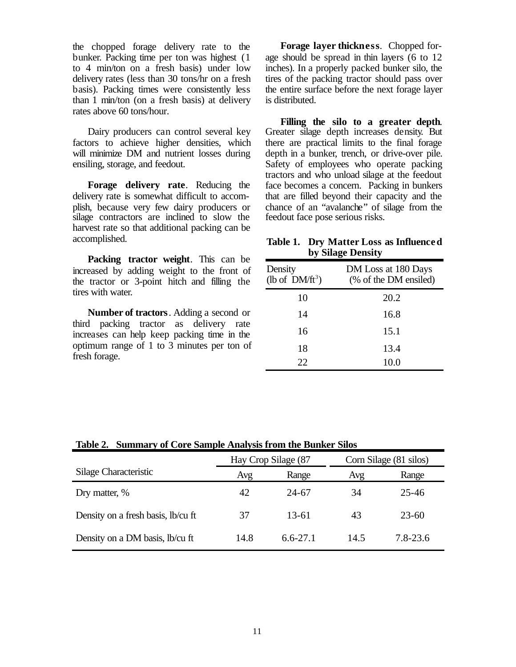the chopped forage delivery rate to the bunker. Packing time per ton was highest (1 to 4 min/ton on a fresh basis) under low delivery rates (less than 30 tons/hr on a fresh basis). Packing times were consistently less than 1 min/ton (on a fresh basis) at delivery rates above 60 tons/hour.

Dairy producers can control several key factors to achieve higher densities, which will minimize DM and nutrient losses during ensiling, storage, and feedout.

**Forage delivery rate***.* Reducing the delivery rate is somewhat difficult to accomplish, because very few dairy producers or silage contractors are inclined to slow the harvest rate so that additional packing can be accomplished.

**Packing tractor weight**. This can be increased by adding weight to the front of the tractor or 3-point hitch and filling the tires with water.

**Number of tractors**. Adding a second or third packing tractor as delivery rate increases can help keep packing time in the optimum range of 1 to 3 minutes per ton of fresh forage.

**Forage layer thickness**. Chopped forage should be spread in thin layers (6 to 12 inches). In a properly packed bunker silo, the tires of the packing tractor should pass over the entire surface before the next forage layer is distributed.

**Filling the silo to a greater depth**. Greater silage depth increases density. But there are practical limits to the final forage depth in a bunker, trench, or drive-over pile. Safety of employees who operate packing tractors and who unload silage at the feedout face becomes a concern. Packing in bunkers that are filled beyond their capacity and the chance of an "avalanche" of silage from the feedout face pose serious risks.

# **Table 1. Dry Matter Loss as Influenced by Silage Density**

| Density<br>(lb of $DM/\text{ft}^3$ ) | DM Loss at 180 Days<br>(% of the DM ensiled) |  |  |
|--------------------------------------|----------------------------------------------|--|--|
| 10                                   | 20.2                                         |  |  |
| 14                                   | 16.8                                         |  |  |
| 16                                   | 15.1                                         |  |  |
| 18                                   | 13.4                                         |  |  |
| 22                                   | 10.0                                         |  |  |

| Table 2. Summary of Core Sample Analysis from the Bunker Silos |                     |              |                        |           |  |
|----------------------------------------------------------------|---------------------|--------------|------------------------|-----------|--|
|                                                                | Hay Crop Silage (87 |              | Corn Silage (81 silos) |           |  |
| Silage Characteristic                                          | Avg                 | Range        | Avg                    | Range     |  |
| Dry matter, %                                                  | 42                  | 24-67        | 34                     | $25 - 46$ |  |
| Density on a fresh basis, lb/cu ft                             | 37                  | 13-61        | 43                     | $23 - 60$ |  |
| Density on a DM basis, lb/cu ft                                | 14.8                | $6.6 - 27.1$ | 14.5                   | 7.8-23.6  |  |

**Table 2. Summary of Core Sample Analysis from the Bunker Silos**